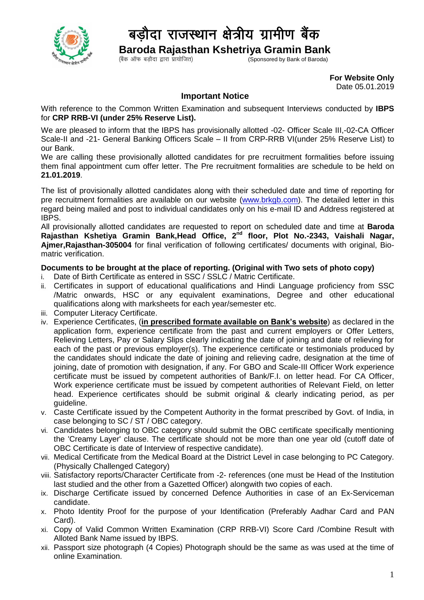

## बड़ौदा राजस्थान क्षेत्रीय ग्रामीण बैंक

 **Baroda Rajasthan Kshetriya Gramin Bank**

 $\zeta$  Sponsored by Bank of Baroda)

**For Website Only** Date 05.01.2019

## **Important Notice**

With reference to the Common Written Examination and subsequent Interviews conducted by **IBPS** for **CRP RRB-VI (under 25% Reserve List).**

We are pleased to inform that the IBPS has provisionally allotted -02- Officer Scale III,-02-CA Officer Scale-II and -21- General Banking Officers Scale – II from CRP-RRB VI(under 25% Reserve List) to our Bank.

We are calling these provisionally allotted candidates for pre recruitment formalities before issuing them final appointment cum offer letter. The Pre recruitment formalities are schedule to be held on **21.01.2019**.

The list of provisionally allotted candidates along with their scheduled date and time of reporting for pre recruitment formalities are available on our website [\(www.brkgb.com\)](http://www.brkgb.com/). The detailed letter in this regard being mailed and post to individual candidates only on his e-mail ID and Address registered at IBPS.

All provisionally allotted candidates are requested to report on scheduled date and time at **Baroda Rajasthan Kshetiya Gramin Bank,Head Office, 2nd floor, Plot No.-2343, Vaishali Nagar, Ajmer,Rajasthan-305004** for final verification of following certificates/ documents with original, Biomatric verification.

## **Documents to be brought at the place of reporting. (Original with Two sets of photo copy)**

- i. Date of Birth Certificate as entered in SSC / SSLC / Matric Certificate.
- ii. Certificates in support of educational qualifications and Hindi Language proficiency from SSC /Matric onwards, HSC or any equivalent examinations, Degree and other educational qualifications along with marksheets for each year/semester etc.
- iii. Computer Literacy Certificate.
- iv. Experience Certificates, (**in prescribed formate available on Bank's website**) as declared in the application form, experience certificate from the past and current employers or Offer Letters, Relieving Letters, Pay or Salary Slips clearly indicating the date of joining and date of relieving for each of the past or previous employer(s). The experience certificate or testimonials produced by the candidates should indicate the date of joining and relieving cadre, designation at the time of joining, date of promotion with designation, if any. For GBO and Scale-III Officer Work experience certificate must be issued by competent authorities of Bank/F.I. on letter head. For CA Officer, Work experience certificate must be issued by competent authorities of Relevant Field, on letter head. Experience certificates should be submit original & clearly indicating period, as per guideline.
- v. Caste Certificate issued by the Competent Authority in the format prescribed by Govt. of India, in case belonging to SC / ST / OBC category.
- vi. Candidates belonging to OBC category should submit the OBC certificate specifically mentioning the 'Creamy Layer' clause. The certificate should not be more than one year old (cutoff date of OBC Certificate is date of Interview of respective candidate).
- vii. Medical Certificate from the Medical Board at the District Level in case belonging to PC Category. (Physically Challenged Category)
- viii. Satisfactory reports/Character Certificate from -2- references (one must be Head of the Institution last studied and the other from a Gazetted Officer) alongwith two copies of each.
- ix. Discharge Certificate issued by concerned Defence Authorities in case of an Ex-Serviceman candidate.
- x. Photo Identity Proof for the purpose of your Identification (Preferably Aadhar Card and PAN Card).
- xi. Copy of Valid Common Written Examination (CRP RRB-VI) Score Card /Combine Result with Alloted Bank Name issued by IBPS.
- xii. Passport size photograph (4 Copies) Photograph should be the same as was used at the time of online Examination.